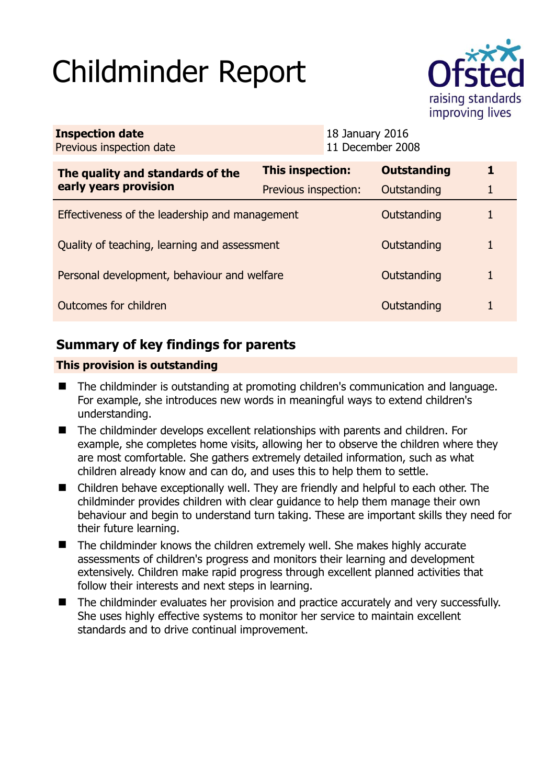# Childminder Report



| <b>Inspection date</b><br>Previous inspection date        |                         | 18 January 2016<br>11 December 2008 |                    |             |
|-----------------------------------------------------------|-------------------------|-------------------------------------|--------------------|-------------|
| The quality and standards of the<br>early years provision | <b>This inspection:</b> |                                     | <b>Outstanding</b> | $\mathbf 1$ |
|                                                           | Previous inspection:    |                                     | Outstanding        |             |
| Effectiveness of the leadership and management            |                         |                                     | Outstanding        | 1           |
| Quality of teaching, learning and assessment              |                         |                                     | Outstanding        | 1           |
| Personal development, behaviour and welfare               |                         |                                     | Outstanding        |             |
| Outcomes for children                                     |                         |                                     | Outstanding        |             |

# **Summary of key findings for parents**

## **This provision is outstanding**

- The childminder is outstanding at promoting children's communication and language. For example, she introduces new words in meaningful ways to extend children's understanding.
- The childminder develops excellent relationships with parents and children. For example, she completes home visits, allowing her to observe the children where they are most comfortable. She gathers extremely detailed information, such as what children already know and can do, and uses this to help them to settle.
- Children behave exceptionally well. They are friendly and helpful to each other. The childminder provides children with clear guidance to help them manage their own behaviour and begin to understand turn taking. These are important skills they need for their future learning.
- $\blacksquare$  The childminder knows the children extremely well. She makes highly accurate assessments of children's progress and monitors their learning and development extensively. Children make rapid progress through excellent planned activities that follow their interests and next steps in learning.
- The childminder evaluates her provision and practice accurately and very successfully. She uses highly effective systems to monitor her service to maintain excellent standards and to drive continual improvement.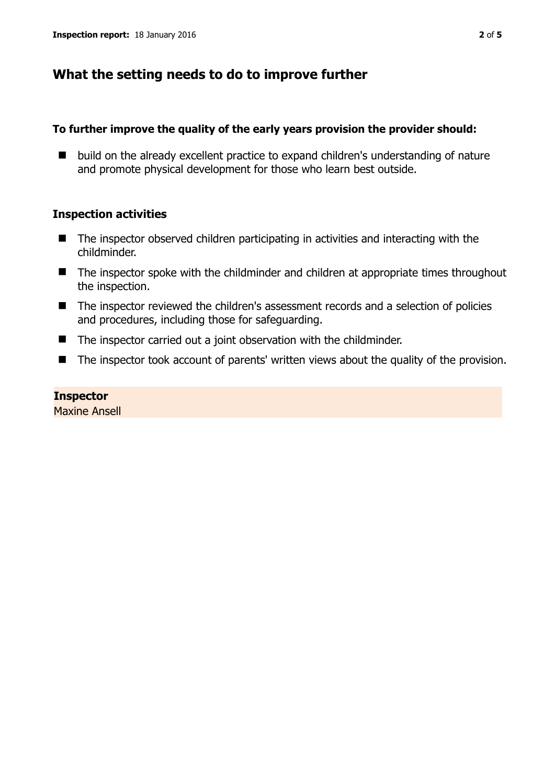## **What the setting needs to do to improve further**

## **To further improve the quality of the early years provision the provider should:**

■ build on the already excellent practice to expand children's understanding of nature and promote physical development for those who learn best outside.

## **Inspection activities**

- The inspector observed children participating in activities and interacting with the childminder.
- The inspector spoke with the childminder and children at appropriate times throughout the inspection.
- The inspector reviewed the children's assessment records and a selection of policies and procedures, including those for safeguarding.
- The inspector carried out a joint observation with the childminder.
- The inspector took account of parents' written views about the quality of the provision.

## **Inspector**

Maxine Ansell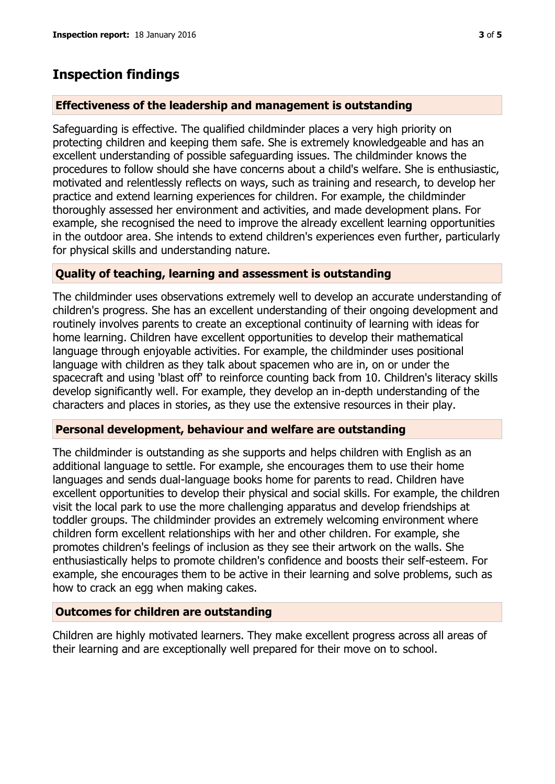## **Inspection findings**

### **Effectiveness of the leadership and management is outstanding**

Safeguarding is effective. The qualified childminder places a very high priority on protecting children and keeping them safe. She is extremely knowledgeable and has an excellent understanding of possible safeguarding issues. The childminder knows the procedures to follow should she have concerns about a child's welfare. She is enthusiastic, motivated and relentlessly reflects on ways, such as training and research, to develop her practice and extend learning experiences for children. For example, the childminder thoroughly assessed her environment and activities, and made development plans. For example, she recognised the need to improve the already excellent learning opportunities in the outdoor area. She intends to extend children's experiences even further, particularly for physical skills and understanding nature.

#### **Quality of teaching, learning and assessment is outstanding**

The childminder uses observations extremely well to develop an accurate understanding of children's progress. She has an excellent understanding of their ongoing development and routinely involves parents to create an exceptional continuity of learning with ideas for home learning. Children have excellent opportunities to develop their mathematical language through enjoyable activities. For example, the childminder uses positional language with children as they talk about spacemen who are in, on or under the spacecraft and using 'blast off' to reinforce counting back from 10. Children's literacy skills develop significantly well. For example, they develop an in-depth understanding of the characters and places in stories, as they use the extensive resources in their play.

#### **Personal development, behaviour and welfare are outstanding**

The childminder is outstanding as she supports and helps children with English as an additional language to settle. For example, she encourages them to use their home languages and sends dual-language books home for parents to read. Children have excellent opportunities to develop their physical and social skills. For example, the children visit the local park to use the more challenging apparatus and develop friendships at toddler groups. The childminder provides an extremely welcoming environment where children form excellent relationships with her and other children. For example, she promotes children's feelings of inclusion as they see their artwork on the walls. She enthusiastically helps to promote children's confidence and boosts their self-esteem. For example, she encourages them to be active in their learning and solve problems, such as how to crack an egg when making cakes.

## **Outcomes for children are outstanding**

Children are highly motivated learners. They make excellent progress across all areas of their learning and are exceptionally well prepared for their move on to school.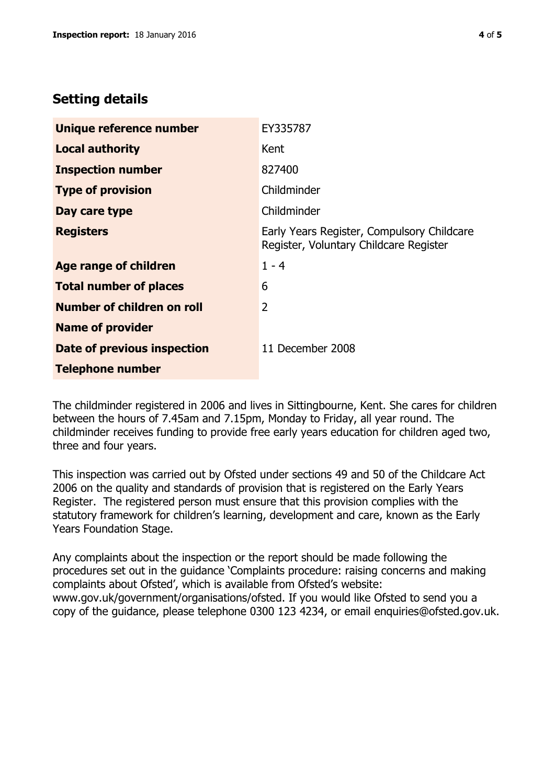# **Setting details**

| Unique reference number       | EY335787                                                                             |  |
|-------------------------------|--------------------------------------------------------------------------------------|--|
| <b>Local authority</b>        | Kent                                                                                 |  |
| <b>Inspection number</b>      | 827400                                                                               |  |
| <b>Type of provision</b>      | Childminder                                                                          |  |
| Day care type                 | Childminder                                                                          |  |
| <b>Registers</b>              | Early Years Register, Compulsory Childcare<br>Register, Voluntary Childcare Register |  |
| Age range of children         | $1 - 4$                                                                              |  |
| <b>Total number of places</b> | 6                                                                                    |  |
| Number of children on roll    | 2                                                                                    |  |
| <b>Name of provider</b>       |                                                                                      |  |
| Date of previous inspection   | 11 December 2008                                                                     |  |
| <b>Telephone number</b>       |                                                                                      |  |

The childminder registered in 2006 and lives in Sittingbourne, Kent. She cares for children between the hours of 7.45am and 7.15pm, Monday to Friday, all year round. The childminder receives funding to provide free early years education for children aged two, three and four years.

This inspection was carried out by Ofsted under sections 49 and 50 of the Childcare Act 2006 on the quality and standards of provision that is registered on the Early Years Register. The registered person must ensure that this provision complies with the statutory framework for children's learning, development and care, known as the Early Years Foundation Stage.

Any complaints about the inspection or the report should be made following the procedures set out in the guidance 'Complaints procedure: raising concerns and making complaints about Ofsted', which is available from Ofsted's website: www.gov.uk/government/organisations/ofsted. If you would like Ofsted to send you a copy of the guidance, please telephone 0300 123 4234, or email enquiries@ofsted.gov.uk.